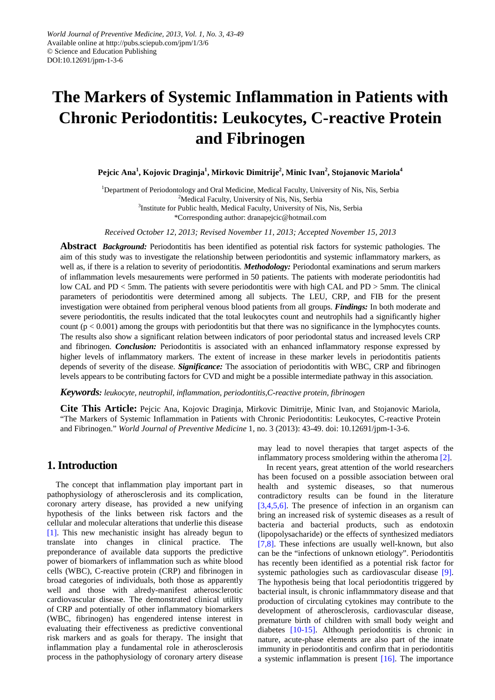# **The Markers of Systemic Inflammation in Patients with Chronic Periodontitis: Leukocytes, C-reactive Protein and Fibrinogen**

**Pejcic Ana<sup>1</sup> , Kojovic Draginja<sup>1</sup> , Mirkovic Dimitrije<sup>2</sup> , Minic Ivan2 , Stojanovic Mariola<sup>4</sup>**

<sup>1</sup>Department of Periodontology and Oral Medicine, Medical Faculty, University of Nis, Nis, Serbia <sup>2</sup>Medical Faculty, University of Nis, Nis, Serbia <sup>3</sup>Institute for Public health, Medical Faculty, University of Nis, Nis, Serbia \*Corresponding author: dranapejcic@hotmail.com

*Received October 12, 2013; Revised November 11, 2013; Accepted November 15, 2013*

**Abstract** *Background:* Periodontitis has been identified as potential risk factors for systemic pathologies. The aim of this study was to investigate the relationship between periodontitis and systemic inflammatory markers, as well as, if there is a relation to severity of periodontitis. *Methodology:* Periodontal examinations and serum markers of inflammation levels mesaurements were performed in 50 patients. The patients with moderate periodontitis had low CAL and PD < 5mm. The patients with severe periodontitis were with high CAL and PD > 5mm. The clinical parameters of periodontitis were determined among all subjects. The LEU, CRP, and FIB for the present investigation were obtained from peripheral venous blood patients from all groups. *Findings:* In both moderate and severe periodontitis, the results indicated that the total leukocytes count and neutrophils had a significantly higher count  $(p < 0.001)$  among the groups with periodontitis but that there was no significance in the lymphocytes counts. The results also show a significant relation between indicators of poor periodontal status and increased levels CRP and fibrinogen. *Conclusion:* Periodontitis is associated with an enhanced inflammatory response expressed by higher levels of inflammatory markers. The extent of increase in these marker levels in periodontitis patients depends of severity of the disease. *Significance:* The association of periodontitis with WBC, CRP and fibrinogen levels appears to be contributing factors for CVD and might be a possible intermediate pathway in this association.

*Keywords: leukocyte, neutrophil, inflammation, periodontitis,C-reactive protein, fibrinogen*

**Cite This Article:** Pejcic Ana, Kojovic Draginja, Mirkovic Dimitrije, Minic Ivan, and Stojanovic Mariola, "The Markers of Systemic Inflammation in Patients with Chronic Periodontitis: Leukocytes, C-reactive Protein and Fibrinogen." *World Journal of Preventive Medicine* 1, no. 3 (2013): 43-49. doi: 10.12691/jpm-1-3-6.

## **1. Introduction**

The concept that inflammation play important part in pathophysiology of atherosclerosis and its complication, coronary artery disease, has provided a new unifying hypothesis of the links between risk factors and the cellular and molecular alterations that underlie this disease [\[1\].](#page-5-0) This new mechanistic insight has already begun to translate into changes in clinical practice. The preponderance of available data supports the predictive power of biomarkers of inflammation such as white blood cells (WBC), C-reactive protein (CRP) and fibrinogen in broad categories of individuals, both those as apparently well and those with alredy-manifest atherosclerotic cardiovascular disease. The demonstrated clinical utility of CRP and potentially of other inflammatory biomarkers (WBC, fibrinogen) has engendered intense interest in evaluating their effectiveness as predictive conventional risk markers and as goals for therapy. The insight that inflammation play a fundamental role in atherosclerosis process in the pathophysiology of coronary artery disease may lead to novel therapies that target aspects of the inflammatory process smoldering within the atheroma [\[2\].](#page-5-1)

In recent years, great attention of the world researchers has been focused on a possible association between oral health and systemic diseases, so that numerous contradictory results can be found in the literature [\[3,4,5,6\].](#page-5-2) The presence of infection in an organism can bring an increased risk of systemic diseases as a result of bacteria and bacterial products, such as endotoxin (lipopolysacharide) or the effects of synthesized mediators [\[7,8\].](#page-5-3) These infections are usually well-known, but also can be the "infections of unknown etiology". Periodontitis has recently been identified as a potential risk factor for systemic pathologies such as cardiovascular disease [\[9\].](#page-5-4) The hypothesis being that local periodontitis triggered by bacterial insult, is chronic inflammmatory disease and that production of circulating cytokines may contribute to the development of atherosclerosis, cardiovascular disease, premature birth of children with small body weight and diabetes [\[10-15\].](#page-5-5) Although periodontitis is chronic in nature, acute-phase elements are also part of the innate immunity in periodontitis and confirm that in periodontitis a systemic inflammation is present [\[16\].](#page-5-6) The importance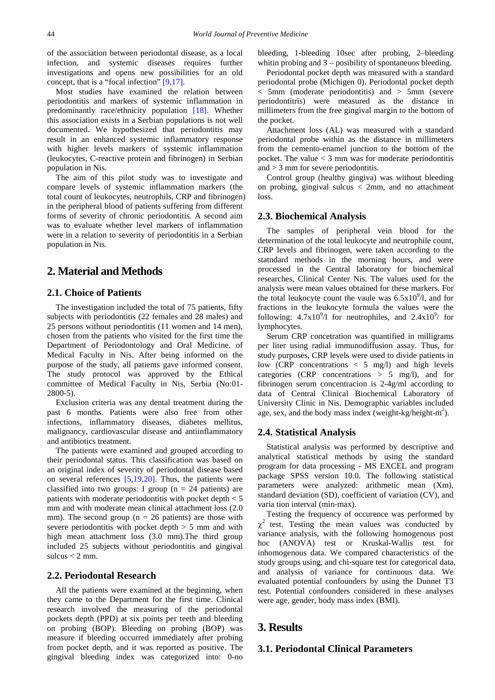of the association between periodontal disease, as a local infection, and systemic diseases requires further investigations and opens new possibilities for an old concept, that is a "focal infection" [\[9,17\].](#page-5-4)

Most studies have examined the relation between periodontitis and markers of systemic inflammation in predominantly race/ethnicity population [\[18\].](#page-5-7) Whether this association exists in a Serbian populations is not well documented. We hypothesized that periodontitis may result in an enhanced systemic inflammatory response with higher levels markers of systemic inflammation (leukocytes, C-reactive protein and fibrinogen) in Serbian population in Nis.

The aim of this pilot study was to investigate and compare levels of systemic inflammation markers (the total count of leukocytes, neutrophils, CRP and fibrinogen) in the peripheral blood of patients suffering from different forms of severity of chronic periodontitis. A second aim was to evaluate whether level markers of inflammation were in a relation to severity of periodontitis in a Serbian population in Nis.

# **2. Material and Methods**

## **2.1. Choice of Patients**

The investigation included the total of 75 patients, fifty subjects with periodontitis (22 females and 28 males) and 25 persons without periodontitis (11 women and 14 men), chosen from the patients who visited for the first time the Department of Periodontology and Oral Medicine, of Medical Faculty in Nis. After being informed on the purpose of the study, all patients gave informed consent. The study protocol was approved by the Ethical committee of Medical Faculty in Nis, Serbia (No:01- 2800-5).

Exclusion criteria was any dental treatment during the past 6 months. Patients were also free from other infections, inflammatory diseases, diabetes mellitus, malignancy, cardiovascular disease and antiinflammatory and antibiotics treatment.

The patients were examined and grouped according to their periodontal status. This classification was based on an original index of severity of periodontal disease based on several references [\[5,19,20\].](#page-5-8) Thus, the patients were classified into two groups: I group ( $n = 24$  patients) are patients with moderate periodontitis with pocket depth  $< 5$ mm and with moderate mean clinical attachment loss  $(2.0)$ mm). The second group ( $n = 26$  patients) are those with severe periodontitis with pocket depth  $> 5$  mm and with high mean attachment loss (3.0 mm).The third group included 25 subjects without periodontitis and gingival sulcus  $<$  2 mm.

## **2.2. Periodontal Research**

All the patients were examined at the beginning, when they came to the Department for the first time. Clinical research involved the measuring of the periodontal pockets depth (PPD) at six points per teeth and bleeding on probing (BOP). Bleeding on probing (BOP) was measure if bleeding occurred immediately after probing from pocket depth, and it was reported as positive. The gingival bleeding index was categorized into: 0-no bleeding, 1-bleeding 10sec after probing, 2–bleeding whitin probing and 3 – posibility of spontaneuos bleeding.

Periodontal pocket depth was measured with a standard periodontal probe (Michigen 0). Periodontal pocket depth < 5mm (moderate periodontitis) and > 5mm (severe periodontitris) were measured as the distance in millimeters from the free gingival margin to the bottom of the pocket.

Attachment loss (AL) was measured with a standard periodontal probe within as the distance in millimeters from the cemento-enamel junction to the bottom of the pocket. The value  $<$  3 mm was for moderate periodontitis and > 3 mm for severe periodontitis.

Control group (healthy gingiva) was without bleeding on probing, gingival sulcus < 2mm, and no attachment loss.

## **2.3. Biochemical Analysis**

The samples of peripheral vein blood for the determination of the total leukocyte and neutrophile count, CRP levels and fibrinogen, were taken according to the statndard methods in the morning hours, and were processed in the Central laboratory for biochemical researches, Clinical Center Nis. The values used for the analysis were mean values obtained for these markers. For the total leukocyte count the vaule was  $6.5x10^{9}/l$ , and for fractions in the leukocyte formula the values were the following:  $4.7x10^{9}/1$  for neutrophiles, and  $2.4x10^{9}/$  for lymphocytes.

Serum CRP concetration was quantified in milligrams per liter using radial immunodiffusion assay. Thus, for study purposes, CRP levels were used to divide patients in low (CRP concentrations < 5 mg/l) and high levels categories (CRP concentrations  $> 5$  mg/l), and for fibrinogen serum concentracion is 2-4g/ml according to data of Central Clinical Biochemical Laboratory of University Clinic in Nis. Demographic variables included age, sex, and the body mass index (weight-kg/height- $m^2$ ).

#### **2.4. Statistical Analysis**

Statistical analysis was performed by descriptive and analytical statistical methods by using the standard program for data processing - MS EXCEL and program package SPSS version 10.0. The following statistical parameters were analyzed: arithmetic mean (Xm), standard deviation (SD), coefficient of variation (CV), and varia tion interval (min-max).

Testing the frequency of occurence was performed by  $\chi^2$  test. Testing the mean values was conducted by variance analysis, with the following homogenous post hoc (ANOVA) test or Kruskal-Wallis test for inhomogenous data. We compared characteristics of the study groups using, and chi-square test for categorical data, and analysis of variance for continuous data. We evaluated potential confounders by using the Dunnet T3 test. Potential confounders considered in these analyses were age, gender, body mass index (BMI).

## **3. Results**

#### **3.1. Periodontal Clinical Parameters**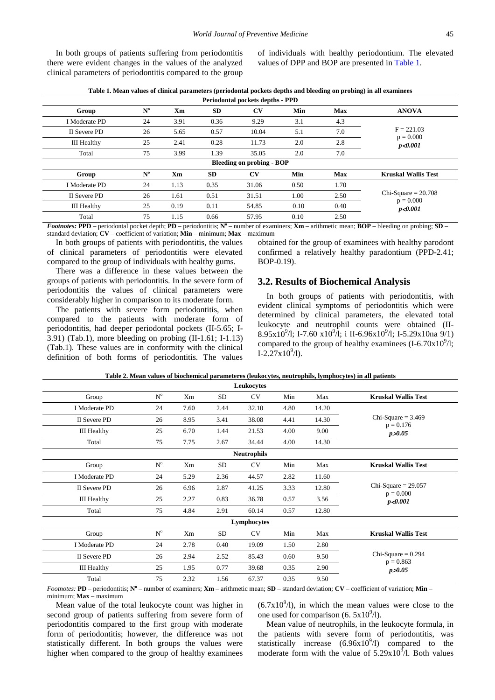In both groups of patients suffering from periodontitis there were evident changes in the values of the analyzed clinical parameters of periodontitis compared to the group of individuals with healthy periodontium. The elevated values of DPP and BOP are presented i[n Table 1.](#page-2-0)

<span id="page-2-0"></span>

| Periodontal pockets depths - PPD |                                  |      |           |                        |      |            |                                      |  |  |
|----------------------------------|----------------------------------|------|-----------|------------------------|------|------------|--------------------------------------|--|--|
| Group                            | $N^{\rm o}$                      | Xm   | <b>SD</b> | $\mathbf{C}\mathbf{V}$ | Min  | <b>Max</b> | <b>ANOVA</b>                         |  |  |
| I Moderate PD                    | 24                               | 3.91 | 0.36      | 9.29                   | 3.1  | 4.3        |                                      |  |  |
| II Severe PD                     | 26                               | 5.65 | 0.57      | 10.04                  | 5.1  | 7.0        | $F = 221.03$                         |  |  |
| <b>III</b> Healthy               | 25                               | 2.41 | 0.28      | 11.73                  | 2.0  | 2.8        | $p = 0.000$<br>p < 0.001             |  |  |
| Total                            | 75                               | 3.99 | 1.39      | 35.05                  | 2.0  | 7.0        |                                      |  |  |
|                                  | <b>Bleeding on probing - BOP</b> |      |           |                        |      |            |                                      |  |  |
| Group                            | $N^{\rm o}$                      | Xm   | <b>SD</b> | CV                     | Min  | <b>Max</b> | <b>Kruskal Wallis Test</b>           |  |  |
| I Moderate PD                    | 24                               | 1.13 | 0.35      | 31.06                  | 0.50 | 1.70       |                                      |  |  |
| II Severe PD                     | 26                               | 1.61 | 0.51      | 31.51                  | 1.00 | 2.50       | $Chi-Square = 20.708$<br>$p = 0.000$ |  |  |
| <b>III</b> Healthy               | 25                               | 0.19 | 0.11      | 54.85                  | 0.10 | 0.40       | p < 0.001                            |  |  |
| Total                            | 75                               | 1.15 | 0.66      | 57.95                  | 0.10 | 2.50       |                                      |  |  |

**Table 1. Mean values of clinical parameters (periodontal pockets depths and bleeding on probing) in all examinees**

*Footnotes:* **PPD** – periodontal pocket depth; **PD** – periodontitis;  $N^{\circ}$  – number of examiners;  $Xm$  – arithmetic mean;  $BOP$  – bleeding on probing;  $SD$  – standard deviation; **CV** – coefficient of variation; **Min** – minimum; **Max** – maximum

In both groups of patients with periodontitis, the values of clinical parameters of periodontitis were elevated compared to the group of individuals with healthy gums.

There was a difference in these values between the groups of patients with periodontitis. In the severe form of periodontitis the values of clinical parameters were considerably higher in comparison to its moderate form.

The patients with severe form periodontitis, when compared to the patients with moderate form of periodontitis, had deeper periodontal pockets (II-5.65; I-3.91) (Tab.1), more bleeding on probing (II-1.61; I-1.13) (Tab.1). These values are in conformity with the clinical definition of both forms of periodontitis. The values obtained for the group of examinees with healthy parodont confirmed a relatively healthy paradontium (PPD-2.41; BOP-0.19).

#### **3.2. Results of Biochemical Analysis**

In both groups of patients with periodontitis, with evident clinical symptoms of periodontitis which were determined by clinical parameters, the elevated total leukocyte and neutrophil counts were obtained (II-8.95x10<sup>9</sup>/l; I-7.60 x10<sup>9</sup>/l; i II-6.96x10<sup>9</sup>/l; I-5.29x10na 9/1) compared to the group of healthy examinees  $(I-6.70 \times 10^{9}/l)$ ;  $I - 2.27 \times 10^9$ /l).

| Table 2. Mean values of biochemical parameteres (leukocytes, neutrophils, lymphocytes) in all patients |             |  |  |
|--------------------------------------------------------------------------------------------------------|-------------|--|--|
|                                                                                                        | Louiseartes |  |  |

| Leunocytes         |                           |      |           |                    |      |       |                                      |
|--------------------|---------------------------|------|-----------|--------------------|------|-------|--------------------------------------|
| Group              | $\mathbf{N}^{\mathrm{o}}$ | Xm   | SD        | CV                 | Min  | Max   | <b>Kruskal Wallis Test</b>           |
| I Moderate PD      | 24                        | 7.60 | 2.44      | 32.10              | 4.80 | 14.20 |                                      |
| II Severe PD       | 26                        | 8.95 | 3.41      | 38.08              | 4.41 | 14.30 | Chi-Square $=$ 3.469<br>$p = 0.176$  |
| <b>III</b> Healthy | 25                        | 6.70 | 1.44      | 21.53              | 4.00 | 9.00  | p > 0.05                             |
| Total              | 75                        | 7.75 | 2.67      | 34.44              | 4.00 | 14.30 |                                      |
|                    |                           |      |           | <b>Neutrophils</b> |      |       |                                      |
| Group              | $\mathbf{N}^{\text{o}}$   | Xm   | SD        | <b>CV</b>          | Min  | Max   | <b>Kruskal Wallis Test</b>           |
| I Moderate PD      | 24                        | 5.29 | 2.36      | 44.57              | 2.82 | 11.60 |                                      |
| II Severe PD       | 26                        | 6.96 | 2.87      | 41.25              | 3.33 | 12.80 | Chi-Square $= 29.057$<br>$p = 0.000$ |
| <b>III</b> Healthy | 25                        | 2.27 | 0.83      | 36.78              | 0.57 | 3.56  | p < 0.001                            |
| Total              | 75                        | 4.84 | 2.91      | 60.14              | 0.57 | 12.80 |                                      |
| Lymphocytes        |                           |      |           |                    |      |       |                                      |
| Group              | $\mathbf{N}^{\text{o}}$   | Xm   | <b>SD</b> | <b>CV</b>          | Min  | Max   | <b>Kruskal Wallis Test</b>           |
| I Moderate PD      | 24                        | 2.78 | 0.40      | 19.09              | 1.50 | 2.80  |                                      |
| II Severe PD       | 26                        | 2.94 | 2.52      | 85.43              | 0.60 | 9.50  | Chi-Square $= 0.294$<br>$p = 0.863$  |
| <b>III</b> Healthy | 25                        | 1.95 | 0.77      | 39.68              | 0.35 | 2.90  | p > 0.05                             |
| Total              | 75                        | 2.32 | 1.56      | 67.37              | 0.35 | 9.50  |                                      |
|                    |                           |      |           |                    |      |       |                                      |

*Footnotes:* **PD** – periodontitis;  $N^{\circ}$  – number of examiners;  $Xm$  – arithmetic mean;  $SD$  – standard deviation;  $CV$  – coefficient of variation;  $Min$ minimum; **Max** – maximum

Mean value of the total leukocyte count was higher in second group of patients suffering from severe form of periodontitis compared to the first group with moderate form of periodontitis; however, the difference was not statistically different. In both groups the values were higher when compared to the group of healthy examinees  $(6.7x10<sup>9</sup>/l)$ , in which the mean values were close to the one used for comparison  $(6.5x10^9/1)$ .

Mean value of neutrophils, in the leukocyte formula, in the patients with severe form of periodontitis, was statistically increase  $(6.96x10<sup>9</sup>/l)$  compared to the moderate form with the value of  $5.29 \times 10^9$ /l. Both values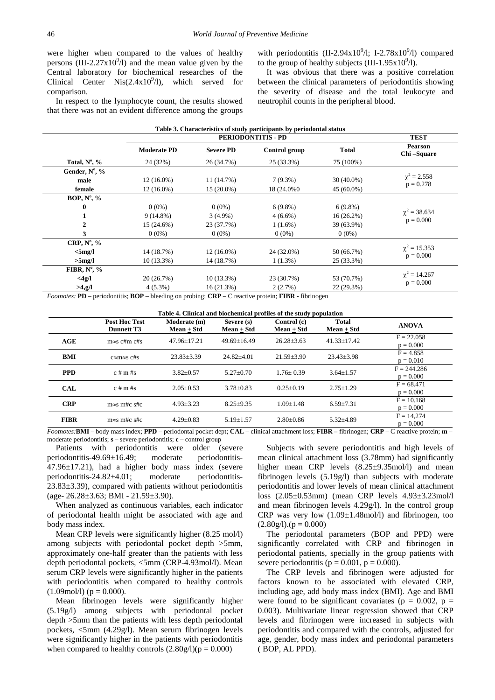were higher when compared to the values of healthy persons  $(III-2.27x10<sup>9</sup>/l)$  and the mean value given by the Central laboratory for biochemical researches of the Clinical Center Nis $(2.4x10<sup>9</sup>/l)$ , which served for comparison.

In respect to the lymphocyte count, the results showed that there was not an evident difference among the groups

with periodontitis (II-2.94x10<sup>9</sup>/l; I-2.78x10<sup>9</sup>/l) compared to the group of healthy subjects (III-1.95 $x10^9/1$ ).

It was obvious that there was a positive correlation between the clinical parameters of periodontitis showing the severity of disease and the total leukocyte and neutrophil counts in the peripheral blood.

|                        |                    | <b>TEST</b>      |               |              |                                  |  |
|------------------------|--------------------|------------------|---------------|--------------|----------------------------------|--|
|                        | <b>Moderate PD</b> | <b>Severe PD</b> | Control group | Total        | <b>Pearson</b><br>Chi-Square     |  |
| Total, $N^{\circ}$ , % | 24 (32%)           | 26 (34.7%)       | 25 (33.3%)    | 75 (100%)    |                                  |  |
| Gender, Nº, %          |                    |                  |               |              |                                  |  |
| male                   | $12(16.0\%)$       | 11 (14.7%)       | $7(9.3\%)$    | $30(40.0\%)$ | $\chi^2 = 2.558$<br>$p = 0.278$  |  |
| female                 | $12(16.0\%)$       | $15(20.0\%)$     | 18 (24.0%)    | $45(60.0\%)$ |                                  |  |
| <b>BOP, Nº, %</b>      |                    |                  |               |              |                                  |  |
| 0                      | $0(0\%)$           | $0(0\%)$         | $6(9.8\%)$    | $6(9.8\%)$   |                                  |  |
|                        | $9(14.8\%)$        | $3(4.9\%)$       | $4(6.6\%)$    | $16(26.2\%)$ | $\chi^2$ = 38.634<br>$p = 0.000$ |  |
|                        | 15 (24.6%)         | 23 (37.7%)       | $1(1.6\%)$    | 39 (63.9%)   |                                  |  |
| 3                      | $0(0\%)$           | $0(0\%)$         | $0(0\%)$      | $0(0\%)$     |                                  |  |
| CRP, $N^{\circ}$ , %   |                    |                  |               |              |                                  |  |
| $<$ 5mg/l              | 14 (18.7%)         | $12(16.0\%)$     | 24 (32.0%)    | 50 (66.7%)   | $\chi^2 = 15.353$                |  |
| $>5$ mg/l              | $10(13.3\%)$       | 14 (18.7%)       | $1(1.3\%)$    | 25 (33.3%)   | $p = 0.000$                      |  |
| FIBR, $N^{\circ}$ , %  |                    |                  |               |              |                                  |  |
| $<$ 4g/l               | 20(26.7%)          | $10(13.3\%)$     | 23 (30.7%)    | 53 (70.7%)   | $\chi^2 = 14.267$                |  |
| >4, g/l                | $4(5.3\%)$         | 16(21.3%)        | 2(2.7%)       | 22 (29.3%)   | $p = 0.000$                      |  |

**Table 4. Clinical and biochemical profiles of the study population**

|             | <b>Post Hoc Test</b><br>Dunnett T3 | Moderate (m)<br>$Mean + Std$ | Severe (s)<br>$Mean + Std$ | Control (c)<br>$Mean + Std$ | <b>Total</b><br>$Mean + Std$ | <b>ANOVA</b>                 |
|-------------|------------------------------------|------------------------------|----------------------------|-----------------------------|------------------------------|------------------------------|
| AGE         | $m \approx s$ c#m c#s              | $47.96 + 17.21$              | $49.69 + 16.49$            | $26.28 \pm 3.63$            | $41.33 + 17.42$              | $F = 22.058$<br>$p = 0.000$  |
| <b>BMI</b>  | $c \approx m \approx s$ c#s        | $23.83 \pm 3.39$             | $24.82 + 4.01$             | $21.59 + 3.90$              | $23.43 \pm 3.98$             | $F = 4.858$<br>$p = 0.010$   |
| <b>PPD</b>  | $c \# m \# s$                      | $3.82 + 0.57$                | $5.27+0.70$                | $1.76 + 0.39$               | $3.64 \pm 1.57$              | $F = 244.286$<br>$p = 0.000$ |
| <b>CAL</b>  | $c \# m \# s$                      | $2.05 \pm 0.53$              | $3.78 \pm 0.83$            | $0.25 \pm 0.19$             | $2.75 \pm 1.29$              | $F = 68.471$<br>$p = 0.000$  |
| <b>CRP</b>  | $m \approx s$ m#c s#c              | $4.93 \pm 3.23$              | $8.25 + 9.35$              | $1.09 + 1.48$               | $6.59 \pm 7.31$              | $F = 10.168$<br>$p = 0.000$  |
| <b>FIBR</b> | $m \approx s$ m#c s#c              | $4.29 + 0.83$                | $5.19 + 1.57$              | $2.80 + 0.86$               | $5.32{\pm}4.89$              | $F = 14.274$<br>$p = 0.000$  |

*Footnotes:***BMI** – body mass index; **PPD** – periodontal pocket dept; **CAL** – clinical attachment loss; **FIBR –** fibrinogen; **CRP** – C reactive protein; **m** – moderate periodontitis; **s** – severe periodontitis; **c** – control group

Patients with periodontitis were older (severe periodontitis-49.69±16.49; moderate periodontitis-47.96±17.21), had a higher body mass index (severe periodontitis-24.82±4.01; moderate periodontitis-23.83±3.39), compared with patients without periodontitis (age- 26.28±3.63; BMI - 21.59±3.90).

When analyzed as continuous variables, each indicator of periodontal health might be associated with age and body mass index.

Mean CRP levels were significantly higher (8.25 mol/l) among subjects with periodontal pocket depth >5mm, approximately one-half greater than the patients with less depth periodontal pockets, <5mm (CRP-4.93mol/l). Mean serum CRP levels were significantly higher in the patients with periodontitis when compared to healthy controls  $(1.09 \text{mol/l})$  ( $p = 0.000$ ).

Mean fibrinogen levels were significantly higher (5.19g/l) among subjects with periodontal pocket depth >5mm than the patients with less depth periodontal pockets, <5mm (4.29g/l). Mean serum fibrinogen levels were significantly higher in the patients with periodontitis when compared to healthy controls  $(2.80g/l)(p = 0.000)$ 

Subjects with severe periodontitis and high levels of mean clinical attachment loss (3.78mm) had significantly higher mean CRP levels  $(8.25\pm9.35 \text{ mol/l})$  and mean fibrinogen levels (5.19g/l) than subjects with moderate periodontitis and lower levels of mean clinical attachment loss (2.05±0.53mm) (mean CRP levels 4.93±3.23mol/l and mean fibrinogen levels 4.29g/l). In the control group CRP was very low  $(1.09 \pm 1.48 \text{ mol/l})$  and fibrinogen, too  $(2.80g/l)$ .(p = 0.000)

The periodontal parameters (BOP and PPD) were significantly correlated with CRP and fibrinogen in periodontal patients, specially in the group patients with severe periodontitis ( $p = 0.001$ ,  $p = 0.000$ ).

The CRP levels and fibrinogen were adjusted for factors known to be associated with elevated CRP, including age, add body mass index (BMI). Age and BMI were found to be significant covariates ( $p = 0.002$ ,  $p =$ 0.003). Multivariate linear regression showed that CRP levels and fibrinogen were increased in subjects with periodontitis and compared with the controls, adjusted for age, gender, body mass index and periodontal parameters ( BOP, AL PPD).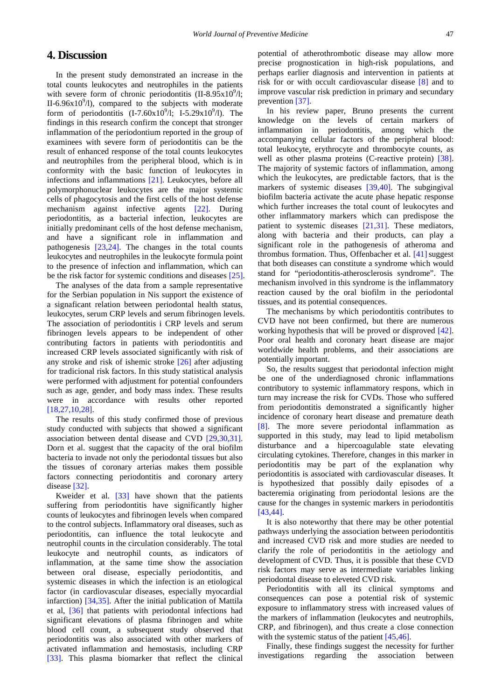# **4. Discussion**

In the present study demonstrated an increase in the total counts leukocytes and neutrophiles in the patients with severe form of chronic periodontitis  $(II-8.95 \times 10^{9}/I)$ ; II-6.96 $x10^9/1$ ), compared to the subjects with moderate form of periodontitis  $(I-7.60x10^{9}/I; I-5.29x10^{9}/I)$ . The findings in this research confirm the concept that stronger inflammation of the periodontium reported in the group of examinees with severe form of periodontitis can be the result of enhanced response of the total counts leukocytes and neutrophiles from the peripheral blood, which is in conformity with the basic function of leukocytes in infections and inflammations [\[21\].](#page-5-9) Leukocytes, before all polymorphonuclear leukocytes are the major systemic cells of phagocytosis and the first cells of the host defense mechanism against infective agents [\[22\].](#page-5-10) During periodontitis, as a bacterial infection, leukocytes are initially predominant cells of the host defense mechanism, and have a significant role in inflammation and pathogenesis [\[23,24\].](#page-5-11) The changes in the total counts leukocytes and neutrophiles in the leukocyte formula point to the presence of infection and inflammation, which can be the risk factor for systemic conditions and diseases [\[25\].](#page-5-12)

The analyses of the data from a sample representative for the Serbian population in Nis support the existence of a signaficant relation between periodontal health status, leukocytes, serum CRP levels and serum fibrinogen levels. The association of periodontitis i CRP levels and serum fibrinogen levels appears to be independent of other contributing factors in patients with periodontitis and increased CRP levels associated significantly with risk of any stroke and risk of ishemic stroke [\[26\]](#page-5-13) after adjusting for tradicional risk factors. In this study statistical analysis were performed with adjustment for potential confounders such as age, gender, and body mass index. These results were in accordance with results other reported [\[18,27,10,28\].](#page-5-7)

The results of this study confirmed those of previous study conducted with subjects that showed a significant association between dental disease and CVD [\[29,30,31\].](#page-5-14) Dorn et al. suggest that the capacity of the oral biofilm bacteria to invade not only the periodontal tissues but also the tissues of coronary arterias makes them possible factors connecting periodontitis and coronary artery disease [\[32\].](#page-5-15)

Kweider et al. [\[33\]](#page-5-16) have shown that the patients suffering from periodontitis have significantly higher counts of leukocytes and fibrinogen levels when compared to the control subjects. Inflammatory oral diseases, such as periodontitis, can influence the total leukocyte and neutrophil counts in the circulation considerably. The total leukocyte and neutrophil counts, as indicators of inflammation, at the same time show the association between oral disease, especially periodontitis, and systemic diseases in which the infection is an etiological factor (in cardiovascular diseases, especially myocardial infarction) [\[34,35\].](#page-5-17) After the initial publication of Mattila et al, [\[36\]](#page-5-18) that patients with periodontal infections had significant elevations of plasma fibrinogen and white blood cell count, a subsequent study observed that periodontitis was also associated with other markers of activated inflammation and hemostasis, including CRP [\[33\].](#page-5-16) This plasma biomarker that reflect the clinical potential of atherothrombotic disease may allow more precise prognostication in high-risk populations, and perhaps earlier diagnosis and intervention in patients at risk for or with occult cardiovascular disease [\[8\]](#page-5-19) and to improve vascular risk prediction in primary and secundary prevention [\[37\].](#page-5-20)

In his review paper, Bruno presents the current knowledge on the levels of certain markers of inflammation in periodontitis, among which the accompanying cellular factors of the peripheral blood: total leukocyte, erythrocyte and thrombocyte counts, as well as other plasma proteins (C-reactive protein) [\[38\].](#page-5-21) The majority of systemic factors of inflammation, among which the leukocytes, are predictable factors, that is the markers of systemic diseases [\[39,40\].](#page-5-22) The subgingival biofilm bacteria activate the acute phase hepatic response which further increases the total count of leukocytes and other inflammatory markers which can predispose the patient to systemic diseases [\[21,31\].](#page-5-9) These mediators, along with bacteria and their products, can play a significant role in the pathogenesis of atheroma and thrombus formation. Thus, Offenbacher et al.  $[41]$  suggest that both diseases can constitute a syndrome which would stand for "periodontitis-atherosclerosis syndrome". The mechanism involved in this syndrome is the inflammatory reaction caused by the oral biofilm in the periodontal tissues, and its potential consequences.

The mechanisms by which periodontitis contributes to CVD have not been confirmed, but there are numerous working hypothesis that will be proved or disproved [\[42\].](#page-6-1) Poor oral health and coronary heart disease are major worldwide health problems, and their associations are potentially important.

So, the results suggest that periodontal infection might be one of the underdiagnosed chronic inflammations contributory to systemic inflammatory respons, which in turn may increase the risk for CVDs. Those who suffered from periodontitis demonstrated a significantly higher incidence of coronary heart disease and premature death [\[8\].](#page-5-19) The more severe periodontal inflammation as supported in this study, may lead to lipid metabolism disturbance and a hipercoagulable state elevating circulating cytokines. Therefore, changes in this marker in periodontitis may be part of the explanation why periodontitis is associated with cardiovascular diseases. It is hypothesized that possibly daily episodes of a bacteremia originating from periodontal lesions are the cause for the changes in systemic markers in periodontitis [\[43,44\].](#page-6-2)

It is also noteworthy that there may be other potential pathways underlying the association between periodontitis and increased CVD risk and more studies are needed to clarify the role of periodontitis in the aetiology and development of CVD. Thus, it is possible that these CVD risk factors may serve as intermediate variables linking periodontal disease to eleveted CVD risk.

Periodontitis with all its clinical symptoms and consequences can pose a potential risk of systemic exposure to inflammatory stress with increased values of the markers of inflammation (leukocytes and neutrophils, CRP, and fibrinogen), and thus create a close connection with the systemic status of the patient [\[45,46\].](#page-6-3)

Finally, these findings suggest the necessity for further investigations regarding the association between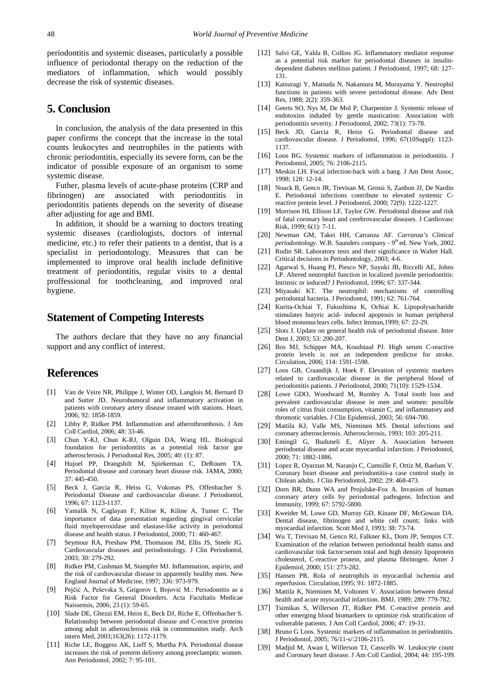periodontitis and systemic diseases, particularly a possible influence of periodontal therapy on the reduction of the mediators of inflammation, which would possibly decrease the risk of systemic diseases.

# **5. Conclusion**

In conclusion, the analysis of the data presented in this paper confirms the concept that the increase in the total counts leukocytes and neutrophiles in the patients with chronic periodontitis, especially its severe form, can be the indicator of possible exposure of an organism to some systemic disease.

Futher, plasma levels of acute-phase proteins (CRP and fibrinogen) are associated with periodontitis in periodontitis patients depends on the severity of disease after adjusting for age and BMI.

In addition, it should be a warning to doctors treating systemic diseases (cardiologists, doctors of internal medicine, etc.) to refer their patients to a dentist, that is a specialist in periodontology. Measures that can be implemented to improve oral health include definitive treatment of periodontitis, regular visits to a dental proffessional for toothcleaning, and improved oral hygiene.

# **Statement of Competing Interests**

The authors declare that they have no any financial support and any conflict of interest.

## **References**

- <span id="page-5-0"></span>[1] Van de Veire NR, Philippe J, Winter OD, Langlois M, Bernard D and Sutter JD. Neurohumoral and inflammatory activation in patients with coronary artery disease treated with stations. Heart, 2006; 92: 1858-1859.
- <span id="page-5-1"></span>[2] Libby P, Ridker PM. Inflammation and atherothrombosis. J Am Coll Cardiol, 2006; 48: 33-46.
- <span id="page-5-2"></span>[3] Chun Y-KJ, Chun K-RJ, Olguin DA, Wang HL. Biological foundation for periodontitis as a potential risk factor gor atherosclerosis. J Periodontal Res, 2005; 40: (1): 87.
- [4] Hujoel PP, Drangshilt M, Spiekerman C, DeRouen TA. Periodontal disease and coronary heart disease risk. JAMA, 2000; 37: 445-450.
- <span id="page-5-8"></span>[5] Beck J, Garcia R, Heiss G, Vokonas PS, Offenbacher S. Periodontal Disease and cardiovascular disease. J Periodontol, 1996; 67: 1123-1137.
- [6] Yamalik N, Caglayan F, Kiline K, Kiline A, Tumer C. The importamce of data presentation regarding gingival cervicular fluid myeloperoxidase and elastase-like activity in periodontal disease and health status. J Periodontol, 2000; 71: 460-467.
- <span id="page-5-3"></span>[7] Seymour RA, Preshaw PM, Thomason JM, Ellis JS, Steele JG. Cardiovascular diseases and periodontology. J Clin Periodontol, 2003; 30: 279-292.
- <span id="page-5-19"></span>[8] Ridker PM, Cushman M, Stampfer MJ. Inflammation, aspirin, and the risk of cardiovascular disease in apparently healthy men. New England Journal of Medicine, 1997; 336: 973-979.
- <span id="page-5-4"></span>[9] Pejčić A, Peševska S, Grigorov I, Bojović M.: Periodontitis as a Risk Factor for General Disorders. Acta Facultatis Medicae Naissensis, 2006; 23 (1): 59-65.
- <span id="page-5-5"></span>[10] Slade DE, Ghezzi EM, Heiss E, Beck DJ, Riche E, Offenbacher S. Relationship between periodontal disease and C-reactive proteins among adult in atherosclerosis risk in commmunites study. Arch intern Med, 2003;163(26): 1172-1179.
- [11] Riche LE, Boggess AK, Lieff S, Murtha PA. Periodontal disease increases the risk of preterm delivery among preeclamptic women. Ann Periodontol, 2002; 7: 95-101.
- [12] Salvi GE, Yalda B, Collins JG. Inflammatory mediator response as a potential risk marker for periodontal diseases in insulindependent diabetes mellitus patient. J Periodontol, 1997; 68: 127- 131.
- [13] Katsuragi Y, Matsuda N, Nakamura M, Murayama Y. Neutrophil functions in patients with severe periodontal disease. Adv Dent Res, 1988; 2(2): 359-363.
- [14] Geerts SO, Nys M, De Mol P, Charpentier J. Systemic release of endotoxins induded by gentle mastication: Association with periodontitis severity. J Periodontol, 2002; 73(1): 73-78.
- [15] Beck JD, Garcia R, Heiss G. Periodontal disease and cardiovascular disease. J Periodontol, 1996; 67(10Suppl): 1123- 1137.
- <span id="page-5-6"></span>[16] Loos BG. Systemic markers of inflammation in periodontitis. J Periodontol, 2005; 76: 2106-2115.
- [17] Meskin LH. Focal infection-back with a bang. J Am Dent Assoc, 1998; 128: 12-14.
- <span id="page-5-7"></span>[18] Noack B, Genco JR, Trevisan M, Grossi S, Zanbon JJ, De Nardin E. Periodontal infections contribute to elevated systemic Creactive protein level. J Periodontol, 2000; 72(9): 1222-1227.
- [19] Morrison HI, Ellison LF, Taylor GW. Periodontal disease and risk of fatal coronary heart and cerebrovascular diseases. J Cardiovasc Risk, 1999; 6(1): 7-11.
- [20] Newman GM, Takei HH, Carranza AF. *Carranza's Clinical periodontology*. W.B. Saunders company - 9<sup>th</sup> ed. New York, 2002.
- <span id="page-5-9"></span>[21] Rudin SR. Laboratory tests and their significance in Walter Hall. Critical decisions in Periodontology, 2003; 4-6.
- <span id="page-5-10"></span>[22] Agarwal S, Huang PJ, Piesco NP, Suyuki JB, Riccelli AE, Johns LP. Altered neutrophil function in localized juvenile periodontitis: Intrinsic or induced? J Periodontol, 1996; 67: 337-344.
- <span id="page-5-11"></span>[23] Miyasaki KT. The neutrophil: mechanisms of controlling periodontal bacteria. J Periodontol, 1991; 62: 761-764.
- [24] Kurita-Ochiai T, Fukushima K, Ochiai K. Lipopolysacharide stimulates butyric acid- induced apoptosis in human peripheral blood mononuclears cells. Infect Immun,1999; 67: 22-29.
- <span id="page-5-12"></span>[25] Slots J. Update on general health risk of periodontal disease. Inter Dent J, 2003; 53: 200-207.
- <span id="page-5-13"></span>[26] Bos MJ, Schipper MA, Koudstaal PJ. High serum C-reactive protein levels is not an independent predictor for stroke. Circulation, 2006; 114: 1591-1598.
- [27] Loos GB, Craandijk J, Hoek F. Elevation of systemic markers related to cardiovascular disease in the peripheral blood of periodontitis patients. J Periodontol, 2000; 71(10): 1529-1534.
- [28] Lowe GDO, Woodward M, Rumley A. Total tooth loss and prevalent cardiovascular disease in men and women: possible roles of citrus fruit consumption, vitamin C, and inflammatory and thromotic variables. J Clin Epidemiol, 2003; 56: 694-700.
- <span id="page-5-14"></span>[29] Mattila KJ, Valle MS, Nieminen MS. Dental infections and coronary atherosclerosis. Atherosclerosis, 1993; 103: 205-211.
- [30] Emingil G, Buduneli E, Aliyer A. Association between periodontal disease and acute myocardial infarction. J Periodontol, 2000; 71: 1882-1886.
- [31] Lopez R, Oyarzun M, Naranjo C, Cumsille F, Ortiz M, Baelum V. Coronary heart disease and periodontitis-a case control study in Chilean adults. J Clin Periodontol, 2002; 29: 468-473.
- <span id="page-5-15"></span>[32] Dorn BR, Dunn WA and Projulske-Fox A. Invasion of human coronary artery cells by periodontal pathogens. Infection and Immunity, 1999; 67: 5792-5800.
- <span id="page-5-16"></span>[33] Kweider M, Lowe GD, Murray GD, Kinane DF, McGowan DA. Dental disease, fibrinogen and white cell count; links with myocardial infarction. Scott Med J, 1993; 38: 73-74.
- <span id="page-5-17"></span>[34] Wu T, Trevisan M, Genco RJ, Falkner KL, Dorn JP, Sempos CT. Examination of the relation between periodontal health status and cardiovascular tisk factor:serum total and high density lipoprotein cholesterol, C-reactive protein, and plasma fibrinogen. Amer J Epidemiol, 2000; 151: 273-282.
- [35] Hansen PR. Rola of neutrophils in myocardial ischemia and reperfusion. Circulation,1995; 91: 1872-1885.
- <span id="page-5-18"></span>[36] Mattila K, Nieminen M, Voltonen V. Association between dental health and acute myocardial infarction. BMJ, 1989; 289: 779-782.
- <span id="page-5-20"></span>[37] Tsimikas S, Willerson JT, Ridker PM. C-reactive protein and other emerging blood biomarkers to optimize risk stratification of vulnerable patients. J Am Coll Cardiol, 2006; 47: 19-31.
- <span id="page-5-21"></span>[38] Bruno G Loos. Systemic markers of inflammation in periodontitis. J Periodontol, 2005; 76/11-s/:2106-2115.
- <span id="page-5-22"></span>[39] Madjid M, Awan I, Willerson TJ, Casscells W. Leukocyte count and Coronary heart disease. J Am Coll Cardiol, 2004; 44: 195-199.